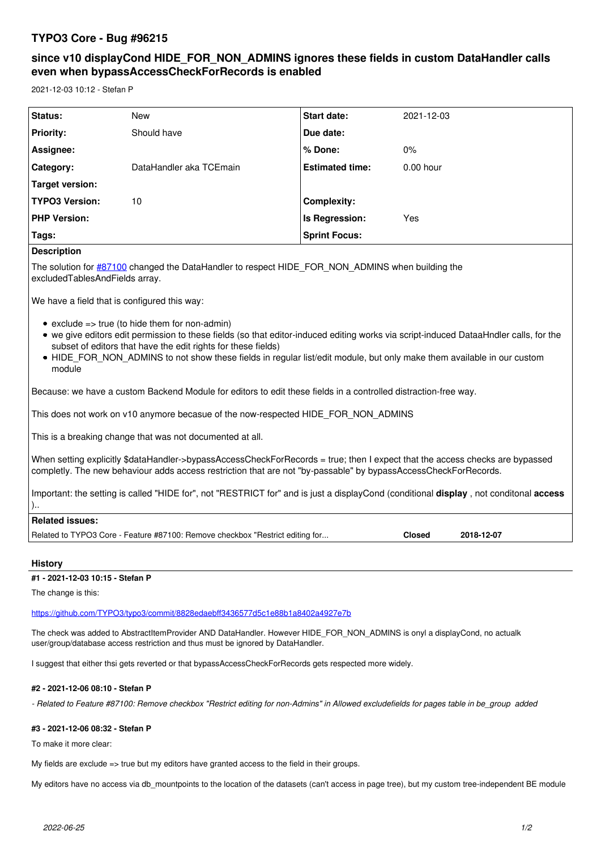# **TYPO3 Core - Bug #96215**

# **since v10 displayCond HIDE\_FOR\_NON\_ADMINS ignores these fields in custom DataHandler calls even when bypassAccessCheckForRecords is enabled**

2021-12-03 10:12 - Stefan P

| Status:               | <b>New</b>              | <b>Start date:</b>     | 2021-12-03  |
|-----------------------|-------------------------|------------------------|-------------|
| <b>Priority:</b>      | Should have             | Due date:              |             |
| Assignee:             |                         | % Done:                | $0\%$       |
| Category:             | DataHandler aka TCEmain | <b>Estimated time:</b> | $0.00$ hour |
| Target version:       |                         |                        |             |
| <b>TYPO3 Version:</b> | 10                      | Complexity:            |             |
| <b>PHP Version:</b>   |                         | Is Regression:         | Yes         |
| Tags:                 |                         | <b>Sprint Focus:</b>   |             |

## **Description**

The solution for [#87100](https://forge.typo3.org/issues/87100) changed the DataHandler to respect HIDE\_FOR\_NON\_ADMINS when building the excludedTablesAndFields array.

We have a field that is configured this way:

- $\bullet$  exclude => true (to hide them for non-admin)
- we give editors edit permission to these fields (so that editor-induced editing works via script-induced DataaHndler calls, for the subset of editors that have the edit rights for these fields)
- HIDE\_FOR\_NON\_ADMINS to not show these fields in regular list/edit module, but only make them available in our custom module

Because: we have a custom Backend Module for editors to edit these fields in a controlled distraction-free way.

This does not work on v10 anymore becasue of the now-respected HIDE\_FOR\_NON\_ADMINS

This is a breaking change that was not documented at all.

When setting explicitly \$dataHandler->bypassAccessCheckForRecords = true; then I expect that the access checks are bypassed completly. The new behaviour adds access restriction that are not "by-passable" by bypassAccessCheckForRecords.

Important: the setting is called "HIDE for", not "RESTRICT for" and is just a displayCond (conditional **display** , not conditonal **access** )..

# **Related issues:** Related to TYPO3 Core - Feature #87100: Remove checkbox "Restrict editing for... **Closed** 2018-12-07

#### **History**

#### **#1 - 2021-12-03 10:15 - Stefan P**

The change is this:

<https://github.com/TYPO3/typo3/commit/8828edaebff3436577d5c1e88b1a8402a4927e7b>

The check was added to AbstractItemProvider AND DataHandler. However HIDE\_FOR\_NON\_ADMINS is onyl a displayCond, no actualk user/group/database access restriction and thus must be ignored by DataHandler.

I suggest that either thsi gets reverted or that bypassAccessCheckForRecords gets respected more widely.

## **#2 - 2021-12-06 08:10 - Stefan P**

*- Related to Feature #87100: Remove checkbox "Restrict editing for non-Admins" in Allowed excludefields for pages table in be\_group added*

#### **#3 - 2021-12-06 08:32 - Stefan P**

To make it more clear:

My fields are exclude  $\Rightarrow$  true but my editors have granted access to the field in their groups.

My editors have no access via db\_mountpoints to the location of the datasets (can't access in page tree), but my custom tree-independent BE module